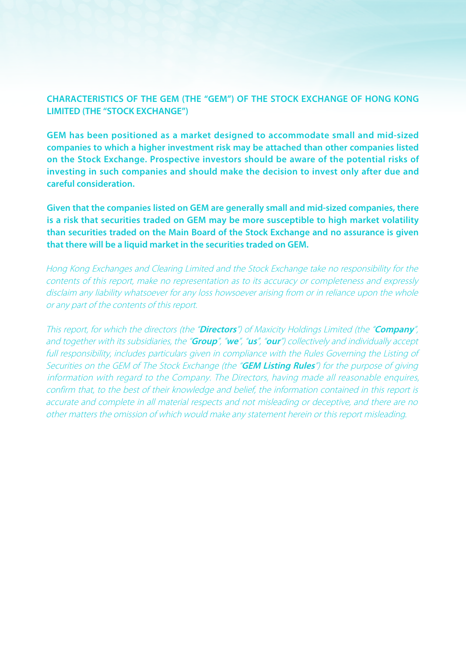## **CHARACTERISTICS OF THE GEM (THE "GEM") OF THE STOCK EXCHANGE OF HONG KONG LIMITED (THE "STOCK EXCHANGE")**

**GEM** has been positioned as a market designed to accommodate small and mid-sized companies to which a higher investment risk may be attached than other companies listed on the Stock Exchange. Prospective investors should be aware of the potential risks of investing in such companies and should make the decision to invest only after due and **careful** consideration.

Given that the companies listed on GEM are generally small and mid-sized companies, there is a risk that securities traded on GEM may be more susceptible to high market volatility than securities traded on the Main Board of the Stock Exchange and no assurance is given that there will be a liquid market in the securities traded on GEM.

Hong Kong Exchanges and Clearing Limited and the Stock Exchange take no responsibility for the contents of this report, make no representation as to its accuracy or completeness and expressly disclaim any liability whatsoever for any loss howsoever arising from or in reliance upon the whole or any part of the contents of this report.

This report, for which the directors (the "**Directors**") of Maxicity Holdings Limited (the "**Company**". and together with its subsidiaries, the "**Group**", "we", "us", "our") collectively and individually accept full responsibility, includes particulars given in compliance with the Rules Governing the Listing of Securities on the GEM of The Stock Exchange (the "**GEM Listing Rules**") for the purpose of giving information with regard to the Company. The Directors, having made all reasonable enguires, confirm that, to the best of their knowledge and belief, the information contained in this report is accurate and complete in all material respects and not misleading or deceptive, and there are no other matters the omission of which would make any statement herein or this report misleading.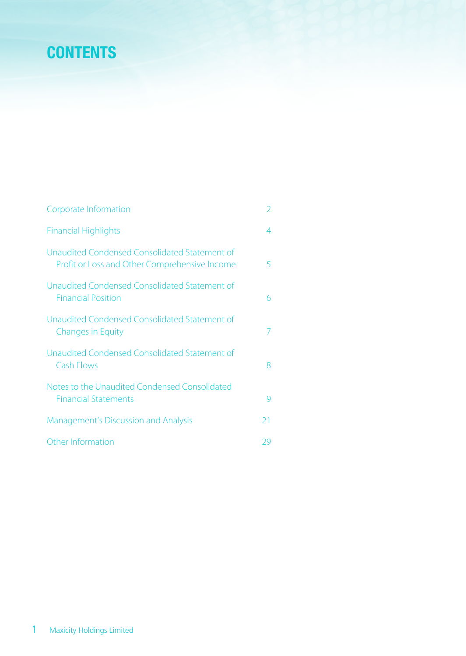# **CONTENTS**

| Corporate Information                                                                          | 2  |
|------------------------------------------------------------------------------------------------|----|
| <b>Financial Highlights</b>                                                                    | 4  |
| Unaudited Condensed Consolidated Statement of<br>Profit or Loss and Other Comprehensive Income | 5  |
| Unaudited Condensed Consolidated Statement of<br><b>Financial Position</b>                     | 6  |
| Unaudited Condensed Consolidated Statement of<br><b>Changes in Equity</b>                      | 7  |
| Unaudited Condensed Consolidated Statement of<br><b>Cash Flows</b>                             | 8  |
| Notes to the Unaudited Condensed Consolidated<br><b>Financial Statements</b>                   | q  |
| Management's Discussion and Analysis                                                           | 21 |
| Other Information                                                                              | 29 |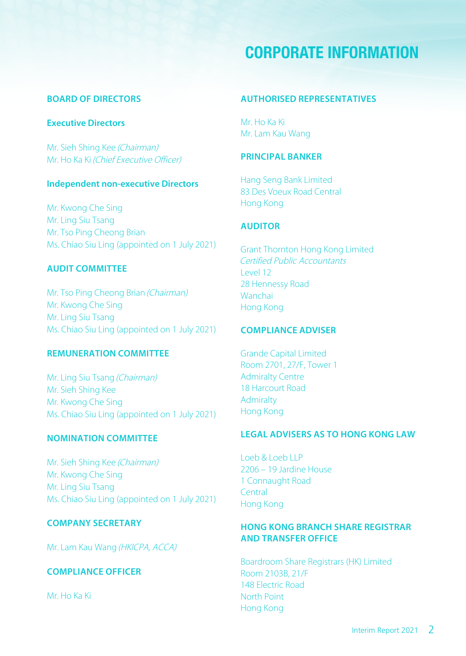## **CORPORATE INFORMATION**

### **BOARD OF DIRECTORS**

### **Executive Directors**

Mr. Sieh Shing Kee (Chairman) Mr. Ho Ka Ki (Chief Executive Officer)

#### **Independent non-executive Directors**

Mr. Kwong Che Sing Mr. Ling Siu Tsang Mr. Tso Ping Cheong Brian Ms. Chiao Siu Ling (appointed on 1 July 2021)

## **AUDIT COMMITTEE**

Mr. Tso Ping Cheong Brian (Chairman) Mr. Kwong Che Sing Mr. Ling Siu Tsang Ms. Chiao Siu Ling (appointed on 1 July 2021).

## **REMUNERATION COMMITTEE**

Mr. Ling Siu Tsang (Chairman) Mr. Sieh Shing Kee Mr. Kwong Che Sing Ms. Chiao Siu Ling (appointed on 1 July 2021)

## **NOMINATION COMMITTEE**

Mr. Sieh Shing Kee (Chairman) Mr. Kwong Che Sing Mr. Ling Siu Tsang Ms. Chiao Siu Ling (appointed on 1 July 2021)

## **COMPANY SECRETARY**

Mr. Lam Kau Wang (HKICPA, ACCA)

## **COMPLIANCE OFFICER**

Mr Ho Ka Ki

#### **REPRESENTATIVES AUTHORISED**

Mr Ho Ka Ki Mr. Lam Kau Wang

## **PRINCIPAL BANKER**

Hang Seng Bank Limited 83 Des Voeux Road Central Hong Kong

### **AUDITOR**

Grant Thornton Hong Kong Limited **Certified Public Accountants** Level 12 28 Hennessy Road **Wanchai Hong Kong** 

### **COMPLIANCE ADVISER**

**Grande Capital Limited** Room 2701, 27/F, Tower 1 **Admiralty Centre** 18 Harcourt Road **Admiralty Hong Kong** 

## **LEGAL ADVISERS AS TO HONG KONG LAW**

 $Leb & Leb$  $2206 - 19$  Jardine House 1 Connaught Road **Central Hong Kong** 

## **HONG KONG BRANCH SHARE REGISTRAR AND TRANSFER OFFICE**

Boardroom Share Registrars (HK) Limited Room 2103 R21/ F 148 Electric Road North Point Hong Kong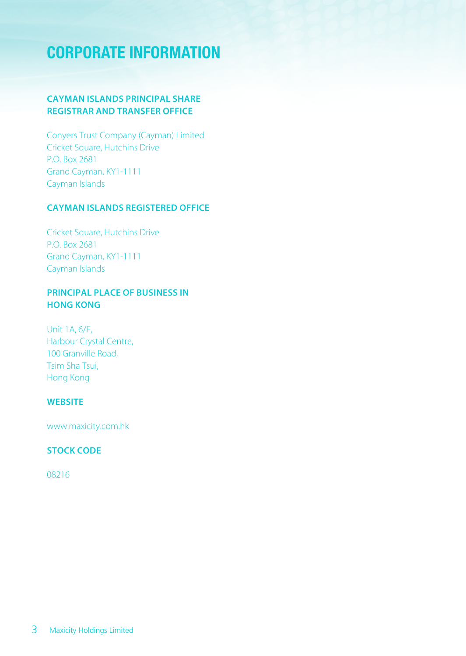# **CORPORATE INFORMATION**

## **CAYMAN ISLANDS PRINCIPAL SHARE REGISTRAR AND TRANSFER OFFICE**

Conyers Trust Company (Cayman) Limited Cricket Square, Hutchins Drive P.O. Box 2681 Grand Cayman, KY1-1111 Cayman Islands

### **CAYMAN ISLANDS REGISTERED OFFICE**

Cricket Square, Hutchins Drive P.O. Box 2681 Grand Cayman, KY1-1111 Cayman Islands

## **PRINCIPAL PLACE OF BUSINESS IN HONG KONG**

Unit 1A, 6/ F. Harbour Crystal Centre, 100 Granville Road. Tsim Sha Tsui. **Hong Kong** 

## **WEBSITE**

www.maxicity.com.hk

## **STOCK CODE**

08216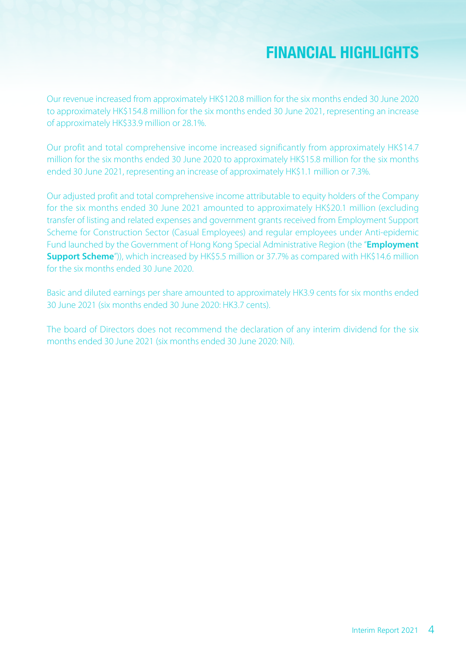# **FINANCIAL HIGHLIGHTS**

Our revenue increased from approximately HK\$120.8 million for the six months ended 30 June 2020 to approximately HK\$154.8 million for the six months ended 30 June 2021, representing an increase of approximately HK\$33.9 million or 28.1%.

Our profit and total comprehensive income increased significantly from approximately HK\$14.7 million for the six months ended 30 June 2020 to approximately HK\$15.8 million for the six months ended 30 June 2021, representing an increase of approximately HK\$1.1 million or 7.3%.

Our adjusted profit and total comprehensive income attributable to equity holders of the Company for the six months ended 30 June 2021 amounted to approximately HK\$20.1 million (excluding transfer of listing and related expenses and government grants received from Employment Support Scheme for Construction Sector (Casual Employees) and regular employees under Anti-epidemic Fund launched by the Government of Hong Kong Special Administrative Region (the "**Employment Support Scheme**")), which increased by HK\$5.5 million or 37.7% as compared with HK\$14.6 million for the six months ended 30 June 2020.

Basic and diluted earnings per share amounted to approximately HK3.9 cents for six months ended 30 June 2021 (six months ended 30 June 2020: HK3.7 cents).

The board of Directors does not recommend the declaration of any interim dividend for the six months ended 30 June 2021 (six months ended 30 June 2020: Nil).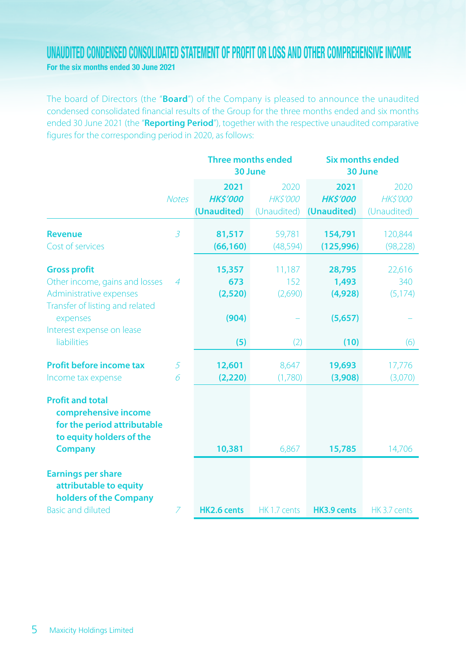## UNAUDITED CONDENSED CONSOLIDATED STATEMENT OF PROFIT OR LOSS AND OTHER COMPREHENSIVE INCOME For the six months ended 30 June 2021

The board of Directors (the "**Board**") of the Company is pleased to announce the unaudited condensed consolidated financial results of the Group for the three months ended and six months ended 30 June 2021 (the "Reporting Period"), together with the respective unaudited comparative figures for the corresponding period in 2020, as follows:

|                                                                                                                              |                | <b>Three months ended</b><br>30 June  |                                       | <b>Six months ended</b><br>30 June    |                                        |  |
|------------------------------------------------------------------------------------------------------------------------------|----------------|---------------------------------------|---------------------------------------|---------------------------------------|----------------------------------------|--|
|                                                                                                                              | <b>Notes</b>   | 2021<br><b>HKS'000</b><br>(Unaudited) | 2020<br><b>HKS'000</b><br>(Unaudited) | 2021<br><b>HKS'000</b><br>(Unaudited) | 2020<br><b>HK\$'000</b><br>(Unaudited) |  |
| <b>Revenue</b><br>Cost of services                                                                                           | $\overline{3}$ | 81,517<br>(66, 160)                   | 59,781<br>(48, 594)                   | 154,791<br>(125, 996)                 | 120,844<br>(98, 228)                   |  |
| <b>Gross profit</b><br>Other income, gains and losses<br>Administrative expenses<br>Transfer of listing and related          | $\overline{4}$ | 15,357<br>673<br>(2,520)              | 11,187<br>152<br>(2,690)              | 28,795<br>1,493<br>(4,928)            | 22,616<br>340<br>(5, 174)              |  |
| expenses<br>Interest expense on lease<br>liabilities                                                                         |                | (904)<br>(5)                          | (2)                                   | (5,657)<br>(10)                       | (6)                                    |  |
| <b>Profit before income tax</b><br>Income tax expense                                                                        | 5<br>6         | 12,601<br>(2,220)                     | 8,647<br>(1,780)                      | 19,693<br>(3,908)                     | 17,776<br>(3,070)                      |  |
| <b>Profit and total</b><br>comprehensive income<br>for the period attributable<br>to equity holders of the<br><b>Company</b> |                | 10,381                                | 6,867                                 | 15,785                                | 14,706                                 |  |
| <b>Earnings per share</b><br>attributable to equity<br>holders of the Company<br><b>Basic and diluted</b>                    | Z              | HK2.6 cents                           | HK 1.7 cents                          | HK3.9 cents                           | HK 3.7 cents                           |  |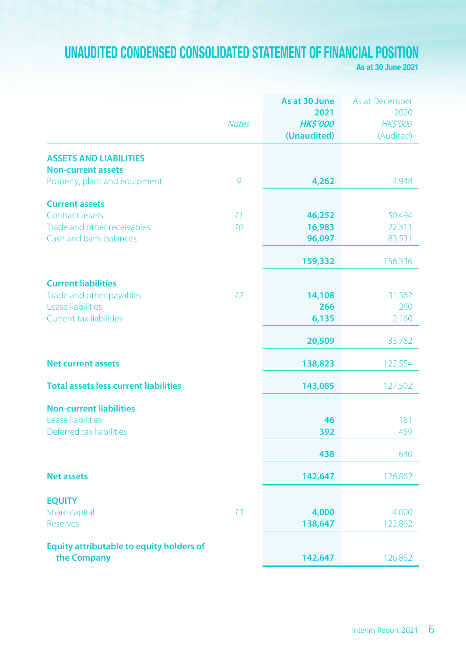# UNAUDITED CONDENSED CONSOLIDATED STATEMENT OF FINANCIAL POSITION

As at 30 June 2021

|                                                 |              | As at 30 June   | As at December  |
|-------------------------------------------------|--------------|-----------------|-----------------|
|                                                 |              | 2021            | 2020            |
|                                                 | <b>Notes</b> | <b>HK\$'000</b> | <b>HK\$'000</b> |
|                                                 |              | (Unaudited)     | (Audited)       |
| <b>ASSETS AND LIABILITIES</b>                   |              |                 |                 |
| <b>Non-current assets</b>                       |              |                 |                 |
| Property, plant and equipment                   | 9            | 4,262           | 4,948           |
| <b>Current assets</b>                           |              |                 |                 |
| Contract assets                                 | 11           | 46,252          | 50,494          |
| Trade and other receivables                     | 10           | 16,983          | 22,311          |
| Cash and bank balances                          |              | 96,097          | 83,531          |
|                                                 |              | 159,332         | 156,336         |
| <b>Current liabilities</b>                      |              |                 |                 |
| Trade and other payables                        | 12           | 14,108          | 31,362          |
| Lease liabilities                               |              | 266             | 260             |
| <b>Current tax liabilities</b>                  |              | 6,135           | 2,160           |
|                                                 |              | 20,509          | 33,782          |
|                                                 |              |                 |                 |
| <b>Net current assets</b>                       |              | 138,823         | 122,554         |
| <b>Total assets less current liabilities</b>    |              | 143,085         | 127,502         |
| <b>Non-current liabilities</b>                  |              |                 |                 |
| Lease liabilities                               |              | 46              | 181             |
| Deferred tax liabilities                        |              | 392             | 459             |
|                                                 |              | 438             | 640             |
| <b>Net assets</b>                               |              | 142,647         | 126,862         |
|                                                 |              |                 |                 |
| <b>EQUITY</b>                                   |              |                 |                 |
| Share capital                                   | 13           | 4,000           | 4,000           |
| <b>Reserves</b>                                 |              | 138,647         | 122,862         |
| <b>Equity attributable to equity holders of</b> |              |                 |                 |
| the Company                                     |              | 142,647         | 126,862         |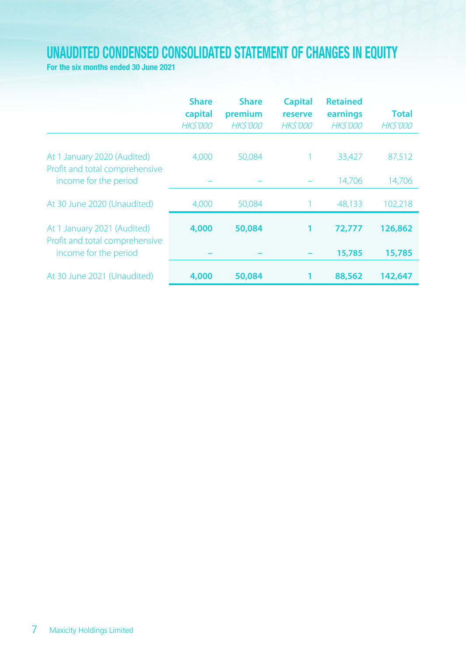## UNAUDITED CONDENSED CONSOLIDATED STATEMENT OF CHANGES IN EQUITY

For the six months ended 30 June 2021

|                                                               | <b>Share</b><br>capital<br><b>HKS'000</b> | <b>Share</b><br>premium<br><b>HKS'000</b> | <b>Capital</b><br>reserve<br><b>HKS'000</b> | <b>Retained</b><br>earnings<br><b>HKS'000</b> | <b>Total</b><br><b>HKS'000</b> |
|---------------------------------------------------------------|-------------------------------------------|-------------------------------------------|---------------------------------------------|-----------------------------------------------|--------------------------------|
| At 1 January 2020 (Audited)<br>Profit and total comprehensive | 4.000                                     | 50.084                                    |                                             | 33,427                                        | 87,512                         |
| income for the period                                         |                                           |                                           |                                             | 14.706                                        | 14,706                         |
| At 30 June 2020 (Unaudited)                                   | 4.000                                     | 50,084                                    |                                             | 48.133                                        | 102.218                        |
| At 1 January 2021 (Audited)<br>Profit and total comprehensive | 4.000                                     | 50,084                                    |                                             | 72.777                                        | 126,862                        |
| income for the period                                         |                                           |                                           |                                             | 15,785                                        | 15,785                         |
| At 30 June 2021 (Unaudited)                                   | 4.000                                     | 50,084                                    |                                             | 88,562                                        | 142,647                        |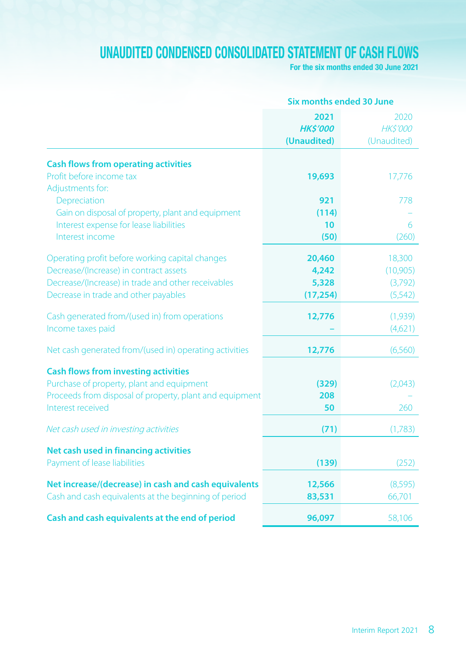## UNAUDITED CONDENSED CONSOLIDATED STATEMENT OF CASH FLOWS

For the six months ended 30 June 2021

|                                                                         | Six months ended 30 June               |                                        |  |  |
|-------------------------------------------------------------------------|----------------------------------------|----------------------------------------|--|--|
|                                                                         | 2021<br><b>HK\$'000</b><br>(Unaudited) | 2020<br><b>HK\$'000</b><br>(Unaudited) |  |  |
| <b>Cash flows from operating activities</b><br>Profit before income tax |                                        |                                        |  |  |
| Adjustments for:                                                        | 19,693                                 | 17,776                                 |  |  |
| Depreciation                                                            | 921                                    | 778                                    |  |  |
| Gain on disposal of property, plant and equipment                       | (114)                                  |                                        |  |  |
| Interest expense for lease liabilities                                  | 10                                     | 6                                      |  |  |
| Interest income                                                         | (50)                                   | (260)                                  |  |  |
| Operating profit before working capital changes                         | 20,460                                 | 18,300                                 |  |  |
| Decrease/(Increase) in contract assets                                  | 4,242                                  | (10, 905)                              |  |  |
| Decrease/(Increase) in trade and other receivables                      | 5,328                                  | (3,792)                                |  |  |
| Decrease in trade and other payables                                    | (17, 254)                              | (5, 542)                               |  |  |
| Cash generated from/(used in) from operations                           | 12,776                                 | (1,939)                                |  |  |
| Income taxes paid                                                       |                                        | (4,621)                                |  |  |
| Net cash generated from/(used in) operating activities                  | 12,776                                 | (6, 560)                               |  |  |
| <b>Cash flows from investing activities</b>                             |                                        |                                        |  |  |
| Purchase of property, plant and equipment                               | (329)                                  | (2,043)                                |  |  |
| Proceeds from disposal of property, plant and equipment                 | 208                                    |                                        |  |  |
| Interest received                                                       | 50                                     | 260                                    |  |  |
| Net cash used in investing activities                                   | (71)                                   | (1,783)                                |  |  |
| Net cash used in financing activities                                   |                                        |                                        |  |  |
| Payment of lease liabilities                                            | (139)                                  | (252)                                  |  |  |
| Net increase/(decrease) in cash and cash equivalents                    | 12,566                                 | (8,595)                                |  |  |
| Cash and cash equivalents at the beginning of period                    | 83,531                                 | 66,701                                 |  |  |
| Cash and cash equivalents at the end of period                          | 96,097                                 | 58,106                                 |  |  |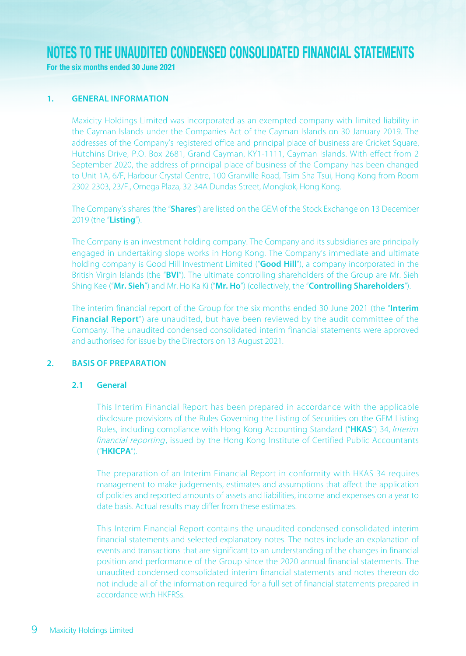**Eor the six months ended 30 June 2021** 

#### **I. GENERAL INFORMATION**

Maxicity Holdings Limited was incorporated as an exempted company with limited liability in the Cayman Islands under the Companies Act of the Cayman Islands on 30 January 2019. The addresses of the Company's registered office and principal place of business are Cricket Square, Hutchins Drive, P.O. Box 2681, Grand Cayman, KY1-1111, Cayman Islands. With effect from 2 September 2020, the address of principal place of business of the Company has been changed to Unit 1A, 6/F, Harbour Crystal Centre, 100 Granville Road, Tsim Sha Tsui, Hong Kong from Room 2302-2303, 23/F., Omega Plaza, 32-34A Dundas Street, Mongkok, Hong Kong.

The Company's shares (the "**Shares**") are listed on the GEM of the Stock Exchange on 13 December 2019 (the "**Listing**").

The Company is an investment holding company. The Company and its subsidiaries are principally engaged in undertaking slope works in Hong Kong. The Company's immediate and ultimate holding company is Good Hill Investment Limited ("**Good Hill**"), a company incorporated in the British Virgin Islands (the "**BVI**"). The ultimate controlling shareholders of the Group are Mr. Sieh Shing Kee ("Mr. Sieh") and Mr. Ho Ka Ki ("Mr. Ho") (collectively, the "Controlling Shareholders").

The interim financial report of the Group for the six months ended 30 June 2021 (the "**Interim** Financial Report") are unaudited, but have been reviewed by the audit committee of the Company. The unaudited condensed consolidated interim financial statements were approved and authorised for issue by the Directors on 13 August 2021.

#### **PREPARATION**

#### **General 2.1**

This Interim Financial Report has been prepared in accordance with the applicable disclosure provisions of the Rules Governing the Listing of Securities on the GEM Listing Rules, including compliance with Hong Kong Accounting Standard ("HKAS") 34, Interim financial reporting, issued by the Hong Kong Institute of Certified Public Accountants .("**HKICPA**("

The preparation of an Interim Financial Report in conformity with HKAS 34 requires management to make judgements, estimates and assumptions that affect the application of policies and reported amounts of assets and liabilities, income and expenses on a year to date basis. Actual results may differ from these estimates.

This Interim Financial Report contains the unaudited condensed consolidated interim financial statements and selected explanatory notes. The notes include an explanation of events and transactions that are significant to an understanding of the changes in financial position and performance of the Group since the 2020 annual financial statements. The unaudited condensed consolidated interim financial statements and notes thereon do not include all of the information required for a full set of financial statements prepared in accordance with HKFRSs.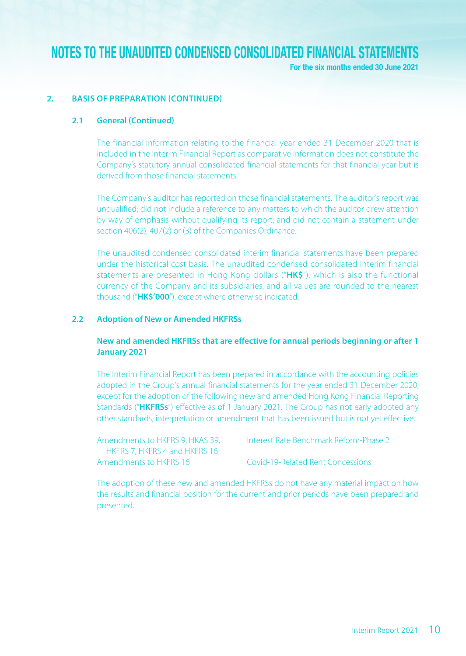For the six months ended 30 June 2021

#### **2. BASIS OF PREPARATION (CONTINUED)**

#### **2.1 General (Continued)**

The financial information relating to the financial year ended 31 December 2020 that is included in the Interim Financial Report as comparative information does not constitute the Company's statutory annual consolidated financial statements for that financial year but is derived from those financial statements

The Company's auditor has reported on those financial statements. The auditor's report was unqualified; did not include a reference to any matters to which the auditor drew attention by way of emphasis without qualifying its report; and did not contain a statement under section 406(2), 407(2) or (3) of the Companies Ordinance.

The unaudited condensed consolidated interim financial statements have been prepared under the historical cost basis. The unaudited condensed consolidated interim financial statements are presented in Hong Kong dollars ("HK\$"), which is also the functional currency of the Company and its subsidiaries, and all values are rounded to the nearest thousand ("HKS'000"), except where otherwise indicated.

#### **2.2** Adoption of New or Amended HKFRSs

### **New and amended HKFRSs that are effective for annual periods beginning or after 1 2021 January**

The Interim Financial Report has been prepared in accordance with the accounting policies adopted in the Group's annual financial statements for the year ended 31 December 2020, except for the adoption of the following new and amended Hong Kong Financial Reporting Standards ("HKFRSs") effective as of 1 January 2021. The Group has not early adopted any other standards, interpretation or amendment that has been issued but is not yet effective.

| Amendments to HKFRS 9, HKAS 39, | Interest Rate Benchmark Reform-Phase 2 |
|---------------------------------|----------------------------------------|
| HKFRS 7. HKFRS 4 and HKFRS 16   |                                        |
| Amendments to HKFRS 16          | Covid-19-Related Rent Concessions      |

The adoption of these new and amended HKFRSs do not have any material impact on how the results and financial position for the current and prior periods have been prepared and presented.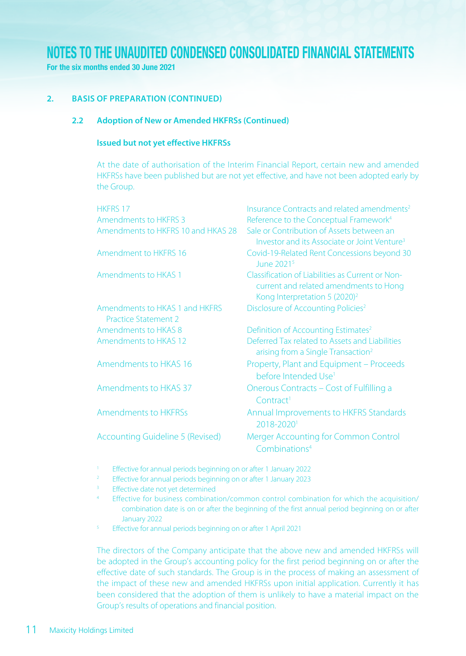For the six months ended 30 June 2021

#### **(2. BASIS OF PREPARATION (CONTINUED)**

#### **2.2** Adoption of New or Amended HKFRSs (Continued)

#### **Issued but not yet effective HKFRSs**

At the date of authorisation of the Interim Financial Report, certain new and amended HKFRSs have been published but are not yet effective, and have not been adopted early by the Group.

| <b>HKFRS 17</b><br>Amendments to HKFRS 3                      | Insurance Contracts and related amendments <sup>2</sup><br>Reference to the Conceptual Framework <sup>4</sup>                           |
|---------------------------------------------------------------|-----------------------------------------------------------------------------------------------------------------------------------------|
| Amendments to HKFRS 10 and HKAS 28                            | Sale or Contribution of Assets between an<br>Investor and its Associate or Joint Venture <sup>3</sup>                                   |
| Amendment to HKFRS 16                                         | Covid-19-Related Rent Concessions beyond 30<br>June 2021 <sup>5</sup>                                                                   |
| Amendments to HKAS 1                                          | Classification of Liabilities as Current or Non-<br>current and related amendments to Hong<br>Kong Interpretation 5 (2020) <sup>2</sup> |
| Amendments to HKAS 1 and HKFRS<br><b>Practice Statement 2</b> | Disclosure of Accounting Policies <sup>2</sup>                                                                                          |
| Amendments to HKAS 8                                          | Definition of Accounting Estimates <sup>2</sup>                                                                                         |
| Amendments to HKAS 12                                         | Deferred Tax related to Assets and Liabilities<br>arising from a Single Transaction <sup>2</sup>                                        |
| Amendments to HKAS 16                                         | Property, Plant and Equipment - Proceeds<br>before Intended Use <sup>1</sup>                                                            |
| Amendments to HKAS 37                                         | Onerous Contracts – Cost of Fulfilling a<br>Control <sup>1</sup>                                                                        |
| <b>Amendments to HKFRSs</b>                                   | Annual Improvements to HKFRS Standards<br>2018-20201                                                                                    |
| <b>Accounting Guideline 5 (Revised)</b>                       | Merger Accounting for Common Control<br>Combinations <sup>4</sup>                                                                       |

- 1 Effective for annual periods beginning on or after 1 January 2022
- 2 Effective for annual periods beginning on or after 1 January 2023
- 3 Effective date not yet determined
- 4 Effective for business combination/common control combination for which the acquisition/ combination date is on or after the beginning of the first annual period beginning on or after
- January 2022<br>**Effective for annual periods beginning on or after 1 April 2021**

The directors of the Company anticipate that the above new and amended HKFRSs will be adopted in the Group's accounting policy for the first period beginning on or after the effective date of such standards. The Group is in the process of making an assessment of the impact of these new and amended HKFRSs upon initial application. Currently it has been considered that the adoption of them is unlikely to have a material impact on the Group's results of operations and financial position.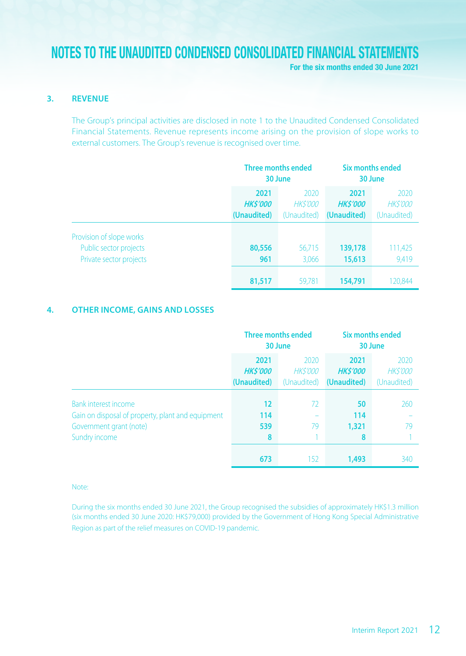For the six months ended 30 June 2021

#### **REVENUE 3.**

The Group's principal activities are disclosed in note 1 to the Unaudited Condensed Consolidated Financial Statements. Revenue represents income arising on the provision of slope works to external customers. The Group's revenue is recognised over time.

|                                                                               | Three months ended<br>30 June         |                                       | Six months ended<br>30 June           |                                       |
|-------------------------------------------------------------------------------|---------------------------------------|---------------------------------------|---------------------------------------|---------------------------------------|
|                                                                               | 2021<br><b>HKS'000</b><br>(Unaudited) | 2020<br><b>HKS'000</b><br>(Unaudited) | 2021<br><b>HKS'000</b><br>(Unaudited) | 2020<br><b>HKS'000</b><br>(Unaudited) |
| Provision of slope works<br>Public sector projects<br>Private sector projects | 80,556<br>961                         | 56,715<br>3,066                       | 139,178<br>15,613                     | 111,425<br>9,419                      |
|                                                                               | 81,517                                | 59.781                                | 154,791                               | 120.844                               |

## **4. OTHER INCOME, GAINS AND LOSSES**

|                                                                                                                              | Three months ended<br>30 June         |                                       | <b>Six months ended</b><br>30 June    |                                       |
|------------------------------------------------------------------------------------------------------------------------------|---------------------------------------|---------------------------------------|---------------------------------------|---------------------------------------|
|                                                                                                                              | 2021<br><b>HKS'000</b><br>(Unaudited) | 2020<br><b>HKS'000</b><br>(Unaudited) | 2021<br><b>HKS'000</b><br>(Unaudited) | 2020<br><b>HKS'000</b><br>(Unaudited) |
| <b>Bank interest income</b><br>Gain on disposal of property, plant and equipment<br>Government grant (note)<br>Sundry income | 12<br>114<br>539<br>8                 | 72<br>79                              | 50<br>114<br>1,321<br>8               | 260<br>79                             |
|                                                                                                                              | 673                                   | 152                                   | 1,493                                 | 340                                   |

#### Note:

During the six months ended 30 June 2021, the Group recognised the subsidies of approximately HK\$1.3 million (six months ended 30 June 2020: HK\$79,000) provided by the Government of Hong Kong Special Administrative Region as part of the relief measures on COVID-19 pandemic.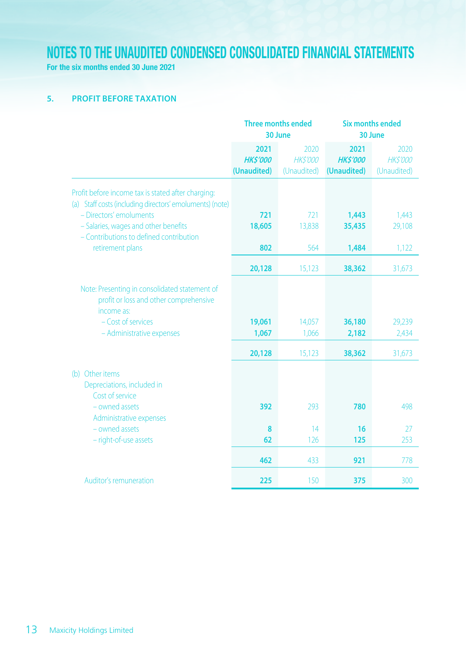For the six months ended 30 June 2021

## **TAXATION BEFORE TAXATION**

|                                                                                                                | <b>Three months ended</b><br>30 June   |                                       | <b>Six months ended</b><br>30 June    |                                       |
|----------------------------------------------------------------------------------------------------------------|----------------------------------------|---------------------------------------|---------------------------------------|---------------------------------------|
|                                                                                                                | 2021<br><b>HK\$'000</b><br>(Unaudited) | 2020<br><b>HKS'000</b><br>(Unaudited) | 2021<br><b>HKS'000</b><br>(Unaudited) | 2020<br><b>HKS'000</b><br>(Unaudited) |
| Profit before income tax is stated after charging:<br>(a) Staff costs (including directors' emoluments) (note) |                                        |                                       |                                       |                                       |
| - Directors' emoluments<br>- Salaries, wages and other benefits<br>- Contributions to defined contribution     | 721<br>18,605                          | 721<br>13,838                         | 1,443<br>35,435                       | 1,443<br>29,108                       |
| retirement plans                                                                                               | 802                                    | 564                                   | 1,484                                 | 1,122                                 |
|                                                                                                                | 20,128                                 | 15,123                                | 38,362                                | 31,673                                |
| Note: Presenting in consolidated statement of<br>profit or loss and other comprehensive<br>income as:          |                                        |                                       |                                       |                                       |
| - Cost of services<br>- Administrative expenses                                                                | 19,061<br>1,067                        | 14,057<br>1,066                       | 36,180<br>2,182                       | 29,239<br>2,434                       |
|                                                                                                                | 20,128                                 | 15,123                                | 38,362                                | 31,673                                |
| (b) Other items<br>Depreciations, included in<br>Cost of service                                               |                                        |                                       |                                       |                                       |
| - owned assets<br>Administrative expenses                                                                      | 392                                    | 293                                   | 780                                   | 498                                   |
| - owned assets<br>- right-of-use assets                                                                        | 8<br>62                                | 14<br>126                             | 16<br>125                             | 27<br>253                             |
|                                                                                                                | 462                                    | 433                                   | 921                                   | 778                                   |
| Auditor's remuneration                                                                                         | 225                                    | 150                                   | 375                                   | 300                                   |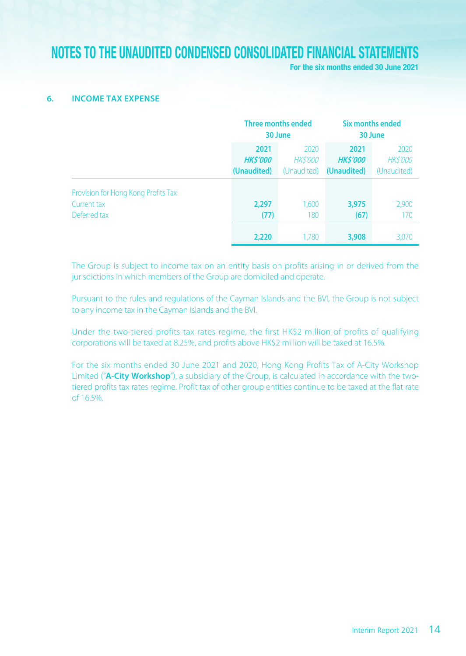For the six months ended 30 June 2021

#### **EXPENSE EXPENSE**

|                                                                    | <b>Three months ended</b><br>30 June  |                                       | Six months ended<br>30 June           |                                       |
|--------------------------------------------------------------------|---------------------------------------|---------------------------------------|---------------------------------------|---------------------------------------|
|                                                                    | 2021<br><b>HKS'000</b><br>(Unaudited) | 2020<br><b>HKS'000</b><br>(Unaudited) | 2021<br><b>HKS'000</b><br>(Unaudited) | 2020<br><b>HKS'000</b><br>(Unaudited) |
| Provision for Hong Kong Profits Tax<br>Current tax<br>Deferred tax | 2,297<br>(77)                         | 1,600<br>180                          | 3,975<br>(67)                         | 2,900<br>170                          |
|                                                                    | 2,220                                 | 1.780                                 | 3,908                                 | 3.070                                 |

The Group is subject to income tax on an entity basis on profits arising in or derived from the jurisdictions in which members of the Group are domiciled and operate.

Pursuant to the rules and regulations of the Cayman Islands and the BVI, the Group is not subject to any income tax in the Cayman Islands and the BVI.

Under the two-tiered profits tax rates regime, the first HK\$2 million of profits of qualifying corporations will be taxed at 8.25%, and profits above HK\$2 million will be taxed at 16.5%.

For the six months ended 30 June 2021 and 2020, Hong Kong Profits Tax of A-City Workshop tiered profits tax rates regime. Profit tax of other group entities continue to be taxed at the flat rate Limited ("**A-City Workshop**"), a subsidiary of the Group, is calculated in accordance with the twoof 16.5%.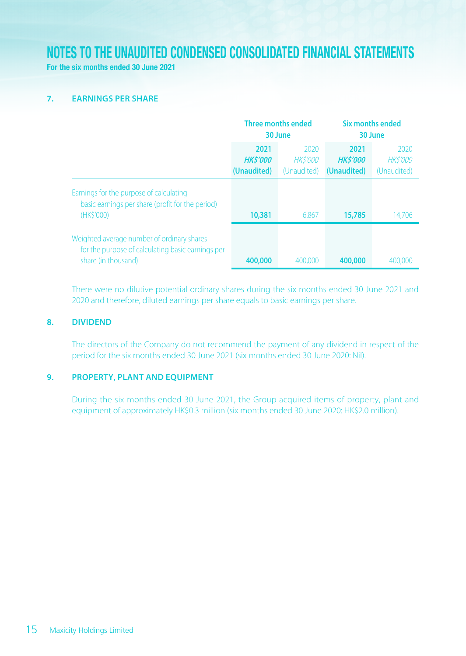For the six months ended 30 June 2021

#### **Z. EARNINGS PER SHARE**

|                                                                                                                        | Three months ended<br>30 June         |                                       | Six months ended<br>30 June           |                                       |
|------------------------------------------------------------------------------------------------------------------------|---------------------------------------|---------------------------------------|---------------------------------------|---------------------------------------|
|                                                                                                                        | 2021<br><b>HKS'000</b><br>(Unaudited) | 2020<br><b>HKS'000</b><br>(Unaudited) | 2021<br><b>HKS'000</b><br>(Unaudited) | 2020<br><b>HKS'000</b><br>(Unaudited) |
| Earnings for the purpose of calculating<br>basic earnings per share (profit for the period)<br>(HK\$'000)              | 10,381                                | 6.867                                 | 15,785                                | 14,706                                |
| Weighted average number of ordinary shares<br>for the purpose of calculating basic earnings per<br>share (in thousand) | 400,000                               | 400.000                               | 400,000                               | 400.000                               |

There were no dilutive potential ordinary shares during the six months ended 30 June 2021 and 2020 and therefore, diluted earnings per share equals to basic earnings per share.

#### **DIVIDEND 8.**

The directors of the Company do not recommend the payment of any dividend in respect of the period for the six months ended 30 June 2021 (six months ended 30 June 2020: Nil).

#### **EQUIPMENT AND PROPERTY. PLANT AND FOUIPMENT**

During the six months ended 30 June 2021, the Group acquired items of property, plant and equipment of approximately HK\$0.3 million (six months ended 30 June 2020: HK\$2.0 million).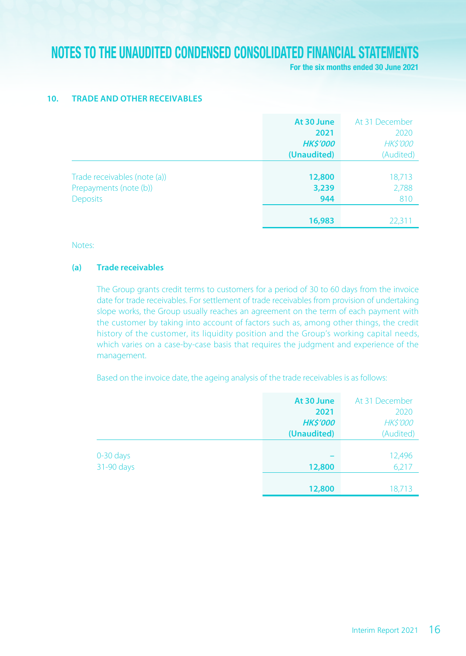For the six months ended 30 June 2021

#### **10. TRADE AND OTHER RECEIVABLES**

|                              | At 30 June      | At 31 December  |
|------------------------------|-----------------|-----------------|
|                              | 2021            | 2020            |
|                              | <b>HK\$'000</b> | <b>HK\$'000</b> |
|                              | (Unaudited)     | (Audited)       |
|                              |                 |                 |
| Trade receivables (note (a)) | 12,800          | 18,713          |
| Prepayments (note (b))       | 3,239           | 2,788           |
| <b>Deposits</b>              | 944             | 810             |
|                              |                 |                 |
|                              | 16,983          | 22,311          |

#### Notes:

### **rade receivables**

The Group grants credit terms to customers for a period of 30 to 60 days from the invoice date for trade receivables. For settlement of trade receivables from provision of undertaking slope works, the Group usually reaches an agreement on the term of each payment with the customer by taking into account of factors such as, among other things, the credit history of the customer, its liquidity position and the Group's working capital needs, which varies on a case-by-case basis that requires the judgment and experience of the .management

Based on the invoice date, the ageing analysis of the trade receivables is as follows:

|            | At 30 June      | At 31 December  |
|------------|-----------------|-----------------|
|            | 2021            | 2020            |
|            | <b>HK\$'000</b> | <b>HK\$'000</b> |
|            | (Unaudited)     | (Audited)       |
|            |                 |                 |
| 0-30 days  |                 | 12,496          |
| 31-90 days | 12,800          | 6,217           |
|            |                 |                 |
|            | 12,800          | 18,713          |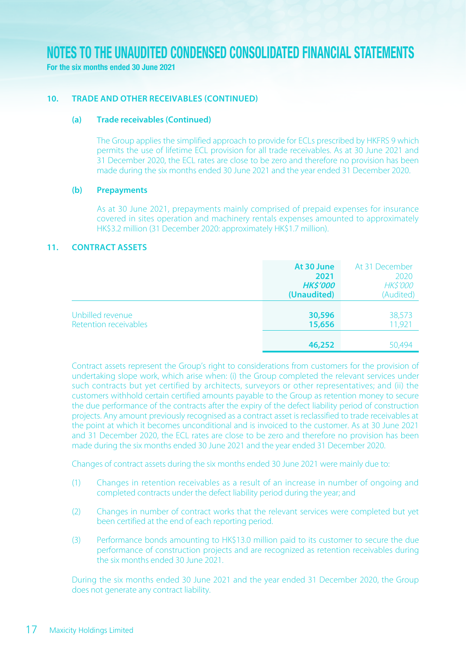**Eor the six months ended 30 June 2021** 

#### 10. TRADE AND OTHER RECEIVABLES (CONTINUED)

#### **(Continued (receivables Trade) a(**

The Group applies the simplified approach to provide for ECLs prescribed by HKFRS 9 which permits the use of lifetime ECL provision for all trade receivables. As at 30 June 2021 and 31 December 2020, the ECL rates are close to be zero and therefore no provision has been made during the six months ended 30 June 2021 and the year ended 31 December 2020.

#### **Prepayments) b(**

As at 30 June 2021, prepayments mainly comprised of prepaid expenses for insurance covered in sites operation and machinery rentals expenses amounted to approximately HK\$3.2 million (31 December 2020: approximately HK\$1.7 million).

### 11. **CONTRACT ASSETS**

|                                           | At 30 June<br>2021<br><b>HK\$'000</b><br>(Unaudited) | At 31 December<br>2020<br><b>HK\$'000</b><br>(Audited) |
|-------------------------------------------|------------------------------------------------------|--------------------------------------------------------|
| Unbilled revenue<br>Retention receivables | 30,596<br>15,656                                     | 38,573<br>11,921                                       |
|                                           | 46,252                                               | 50.494                                                 |

Contract assets represent the Group's right to considerations from customers for the provision of undertaking slope work, which arise when; (i) the Group completed the relevant services under such contracts but yet certified by architects, surveyors or other representatives; and (ii) the customers withhold certain certified amounts payable to the Group as retention money to secure the due performance of the contracts after the expiry of the defect liability period of construction projects. Any amount previously recognised as a contract asset is reclassified to trade receivables at the point at which it becomes unconditional and is invoiced to the customer. As at 30 June 2021 and 31 December 2020, the ECL rates are close to be zero and therefore no provision has been made during the six months ended 30 June 2021 and the vear ended 31 December 2020.

Changes of contract assets during the six months ended 30 June 2021 were mainly due to:

- $\alpha$  Changes in retention receivables as a result of an increase in number of ongoing and completed contracts under the defect liability period during the year; and
- (2) Changes in number of contract works that the relevant services were completed but vet been certified at the end of each reporting period.
- (3) Performance bonds amounting to HK\$13.0 million paid to its customer to secure the due performance of construction projects and are recognized as retention receivables during  $\frac{1}{20}$  the six months ended 30 lune 2021

During the six months ended 30 June 2021 and the year ended 31 December 2020, the Group does not generate any contract liability.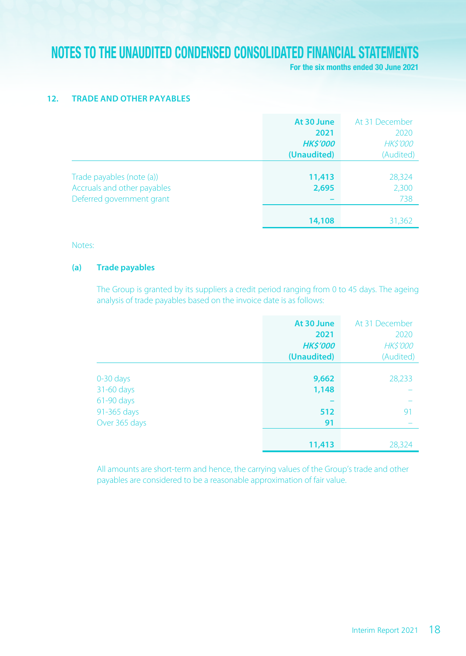For the six months ended 30 June 2021

### **PAYABLES PAYABLES**

|                             | At 30 June      | At 31 December  |
|-----------------------------|-----------------|-----------------|
|                             | 2021            | 2020            |
|                             | <b>HK\$'000</b> | <b>HK\$'000</b> |
|                             | (Unaudited)     | (Audited)       |
|                             |                 |                 |
| Trade payables (note (a))   | 11,413          | 28,324          |
| Accruals and other payables | 2,695           | 2,300           |
| Deferred government grant   |                 | 738             |
|                             |                 |                 |
|                             | 14,108          | 31,362          |

#### Notes:

#### **payables Trade) a(**

The Group is granted by its suppliers a credit period ranging from 0 to 45 days. The ageing analysis of trade payables based on the invoice date is as follows:

|               | At 30 June      | At 31 December  |
|---------------|-----------------|-----------------|
|               | 2021            | 2020            |
|               | <b>HK\$'000</b> | <b>HK\$'000</b> |
|               | (Unaudited)     | (Audited)       |
|               |                 |                 |
| $0-30$ days   | 9,662           | 28,233          |
| 31-60 days    | 1,148           |                 |
| 61-90 days    |                 |                 |
| 91-365 days   | 512             | 91              |
| Over 365 days | 91              |                 |
|               |                 |                 |
|               | 11,413          | 28,324          |

All amounts are short-term and hence, the carrying values of the Group's trade and other payables are considered to be a reasonable approximation of fair value.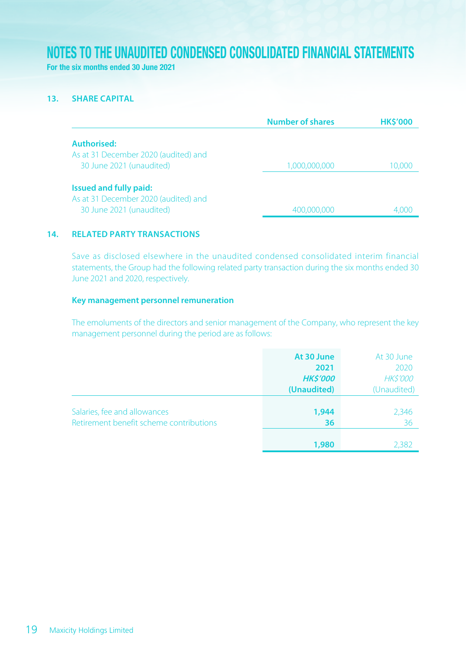For the six months ended 30 June 2021

#### **13. SHARE CAPITAL**

|                                                                                                   | <b>Number of shares</b> | <b>HK\$'000</b> |
|---------------------------------------------------------------------------------------------------|-------------------------|-----------------|
| Authorised:                                                                                       |                         |                 |
| As at 31 December 2020 (audited) and                                                              |                         |                 |
| 30 June 2021 (unaudited)                                                                          | 1,000,000,000           | 10.000          |
| <b>Issued and fully paid:</b><br>As at 31 December 2020 (audited) and<br>30 June 2021 (unaudited) | 400,000,000             | 4.000           |

## **TRANSACTIONS**

Save as disclosed elsewhere in the unaudited condensed consolidated interim financial statements, the Group had the following related party transaction during the six months ended 30 June 2021 and 2020, respectively.

#### **Key management personnel remuneration**

The emoluments of the directors and senior management of the Company, who represent the key management personnel during the period are as follows:

|                                         | At 30 June      | At 30 June      |
|-----------------------------------------|-----------------|-----------------|
|                                         | 2021            | 2020            |
|                                         | <b>HK\$'000</b> | <b>HK\$'000</b> |
|                                         | (Unaudited)     | (Unaudited)     |
|                                         |                 |                 |
| Salaries, fee and allowances            | 1,944           | 2,346           |
| Retirement benefit scheme contributions | 36              | 36              |
|                                         |                 |                 |
|                                         | 1,980           | 2.382           |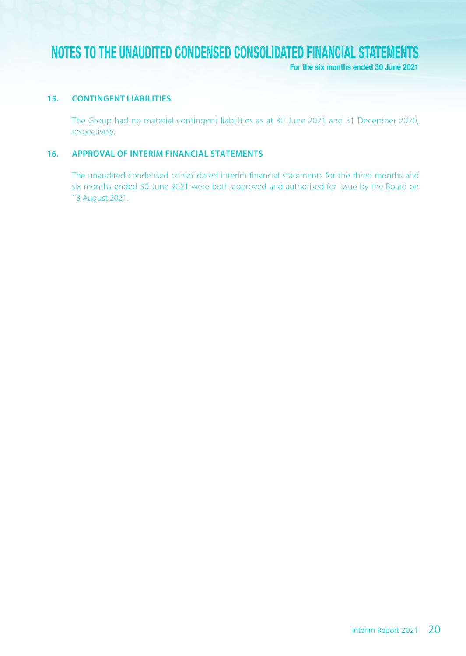For the six months ended 30 June 2021

### **LIS.** CONTINGENT LIABILITIES

The Group had no material contingent liabilities as at 30 June 2021 and 31 December 2020, respectively.

## **16. APPROVAL OF INTERIM FINANCIAL STATEMENTS**

The unaudited condensed consolidated interim financial statements for the three months and six months ended 30 June 2021 were both approved and authorised for issue by the Board on 13 August 2021.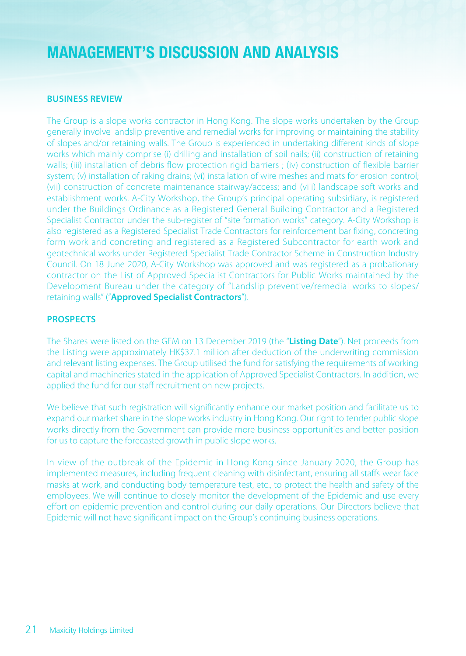### **RUSINESS REVIEW**

The Group is a slope works contractor in Hong Kong. The slope works undertaken by the Group generally involve landslip preventive and remedial works for improving or maintaining the stability of slopes and/or retaining walls. The Group is experienced in undertaking different kinds of slope works which mainly comprise (i) drilling and installation of soil nails; (ii) construction of retaining walls; (iii) installation of debris flow protection rigid barriers ; (iv) construction of flexible barrier system; (v) installation of raking drains; (vi) installation of wire meshes and mats for erosion control; (vii) construction of concrete maintenance stairway/access; and (viii) landscape soft works and establishment works. A-City Workshop, the Group's principal operating subsidiary, is registered under the Buildings Ordinance as a Registered General Building Contractor and a Registered Specialist Contractor under the sub-register of "site formation works" category. A-City Workshop is also registered as a Registered Specialist Trade Contractors for reinforcement bar fixing, concreting form work and concreting and registered as a Registered Subcontractor for earth work and geotechnical works under Registered Specialist Trade Contractor Scheme in Construction Industry Council, On 18 June 2020, A-City Workshop was approved and was registered as a probationary contractor on the List of Approved Specialist Contractors for Public Works maintained by the Development Bureau under the category of "Landslip preventive/remedial works to slopes/ retaining walls" ("**Approved Specialist Contractors**").

### **PROSPECTS**

The Shares were listed on the GEM on 13 December 2019 (the "Listing Date"). Net proceeds from the Listing were approximately HK\$37.1 million after deduction of the underwriting commission and relevant listing expenses. The Group utilised the fund for satisfying the requirements of working capital and machineries stated in the application of Approved Specialist Contractors. In addition, we applied the fund for our staff recruitment on new projects.

We believe that such registration will significantly enhance our market position and facilitate us to expand our market share in the slope works industry in Hong Kong. Our right to tender public slope works directly from the Government can provide more business opportunities and better position for us to capture the forecasted growth in public slope works.

In view of the outbreak of the Epidemic in Hong Kong since January 2020, the Group has implemented measures, including frequent cleaning with disinfectant, ensuring all staffs wear face masks at work, and conducting body temperature test, etc., to protect the health and safety of the employees. We will continue to closely monitor the development of the Epidemic and use every effort on epidemic prevention and control during our daily operations. Our Directors believe that Epidemic will not have significant impact on the Group's continuing business operations.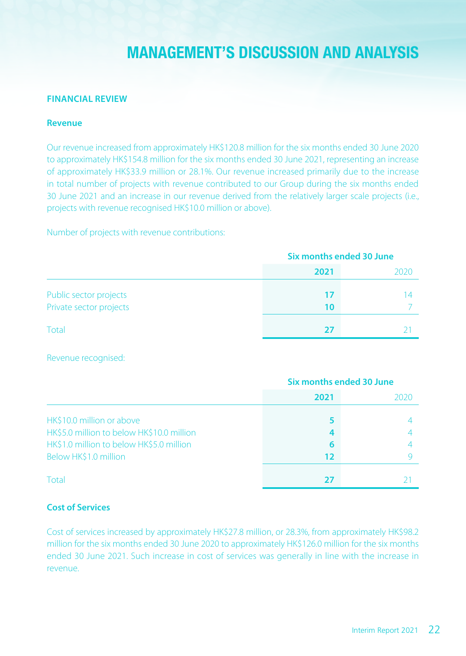### **FINANCIAL REVIEW**

#### **Revenue**

Our revenue increased from approximately HK\$120.8 million for the six months ended 30 June 2020 to approximately HK\$154.8 million for the six months ended 30 June 2021, representing an increase of approximately HK\$33.9 million or 28.1%. Our revenue increased primarily due to the increase in total number of projects with revenue contributed to our Group during the six months ended 30 June 2021 and an increase in our revenue derived from the relatively larger scale projects (i.e., projects with revenue recognised HK\$10.0 million or above).

Number of projects with revenue contributions:

|                                                   | Six months ended 30 June |      |
|---------------------------------------------------|--------------------------|------|
|                                                   | 2021                     | 2020 |
| Public sector projects<br>Private sector projects | 17<br>10                 |      |
| Total                                             | 27                       |      |

Revenue recognised:

|                                           | Six months ended 30 June |      |  |
|-------------------------------------------|--------------------------|------|--|
|                                           | 2021                     | 2020 |  |
| HK\$10.0 million or above                 |                          |      |  |
| HK\$5.0 million to below HK\$10.0 million |                          |      |  |
| HK\$1.0 million to below HK\$5.0 million  | 6                        |      |  |
| Below HK\$1.0 million                     | 12                       |      |  |
|                                           |                          |      |  |
| Total                                     | 27                       |      |  |

## **Cost of Services**

Cost of services increased by approximately HK\$27.8 million, or 28.3%, from approximately HK\$98.2 million for the six months ended 30 June 2020 to approximately HK\$126.0 million for the six months ended 30 June 2021. Such increase in cost of services was generally in line with the increase in .revenue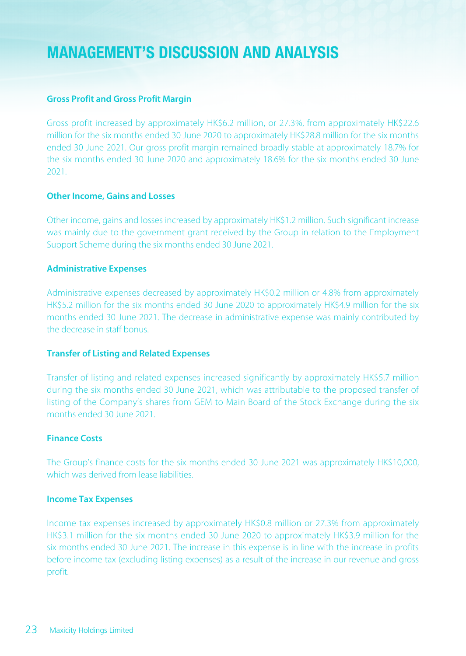### **Gross Profit and Gross Profit Margin**

Gross profit increased by approximately HK\$6.2 million, or 27.3%, from approximately HK\$22.6 million for the six months ended 30 June 2020 to approximately HK\$28.8 million for the six months ended 30 June 2021. Our gross profit margin remained broadly stable at approximately 18.7% for the six months ended 30 June 2020 and approximately 18.6% for the six months ended 30 June 2021.

#### **Other Income, Gains and Losses**

Other income, gains and losses increased by approximately HK\$1.2 million. Such significant increase was mainly due to the government grant received by the Group in relation to the Employment Support Scheme during the six months ended 30 June 2021.

### **Expenses Administrative**

Administrative expenses decreased by approximately HK\$0.2 million or 4.8% from approximately HK\$5.2 million for the six months ended 30 June 2020 to approximately HK\$4.9 million for the six months ended 30 June 2021. The decrease in administrative expense was mainly contributed by the decrease in staff honus

### **Transfer of Listing and Related Expenses**

Transfer of listing and related expenses increased significantly by approximately HK\$5.7 million during the six months ended 30 June 2021, which was attributable to the proposed transfer of listing of the Company's shares from GEM to Main Board of the Stock Exchange during the six months ended 30 June 2021.

#### **Finance Costs**

The Group's finance costs for the six months ended 30 June 2021 was approximately HK\$10,000, which was derived from lease liabilities

#### **Income Tax Expenses**

Income tax expenses increased by approximately HK\$0.8 million or 27.3% from approximately HK\$3.1 million for the six months ended 30 June 2020 to approximately HK\$3.9 million for the six months ended 30 June 2021. The increase in this expense is in line with the increase in profits before income tax (excluding listing expenses) as a result of the increase in our revenue and gross profit.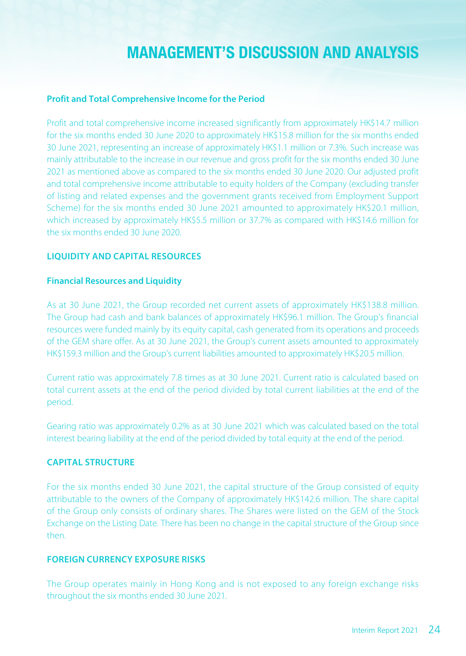#### **Profit and Total Comprehensive Income for the Period**

Profit and total comprehensive income increased significantly from approximately HK\$14.7 million for the six months ended 30 June 2020 to approximately HK\$15.8 million for the six months ended 30 June 2021, representing an increase of approximately HK\$1.1 million or 7.3%. Such increase was mainly attributable to the increase in our revenue and gross profit for the six months ended 30 June 2021 as mentioned above as compared to the six months ended 30 June 2020. Our adjusted profit and total comprehensive income attributable to equity holders of the Company (excluding transfer of listing and related expenses and the government grants received from Employment Support Scheme) for the six months ended 30 June 2021 amounted to approximately HK\$20.1 million, which increased by approximately HK\$5.5 million or 37.7% as compared with HK\$14.6 million for the six months ended 30 June 2020.

### **LIQUIDITY AND CAPITAL RESOURCES**

#### **Financial Resources and Liquidity**

As at 30 June 2021, the Group recorded net current assets of approximately HK\$138.8 million. The Group had cash and bank balances of approximately HK\$96.1 million. The Group's financial resources were funded mainly by its equity capital, cash generated from its operations and proceeds of the GEM share offer. As at 30 June 2021, the Group's current assets amounted to approximately HK\$159.3 million and the Group's current liabilities amounted to approximately HK\$20.5 million.

Current ratio was approximately 7.8 times as at 30 June 2021. Current ratio is calculated based on total current assets at the end of the period divided by total current liabilities at the end of the .period

Gearing ratio was approximately 0.2% as at 30 June 2021 which was calculated based on the total interest bearing liability at the end of the period divided by total equity at the end of the period.

## **CAPITAL STRUCTURE**

For the six months ended 30 June 2021, the capital structure of the Group consisted of equity attributable to the owners of the Company of approximately HK\$142.6 million. The share capital of the Group only consists of ordinary shares. The Shares were listed on the GEM of the Stock Exchange on the Listing Date. There has been no change in the capital structure of the Group since then

## *EORFIGN CURRENCY EXPOSURE RISKS*

The Group operates mainly in Hong Kong and is not exposed to any foreign exchange risks throughout the six months ended 30 June 2021.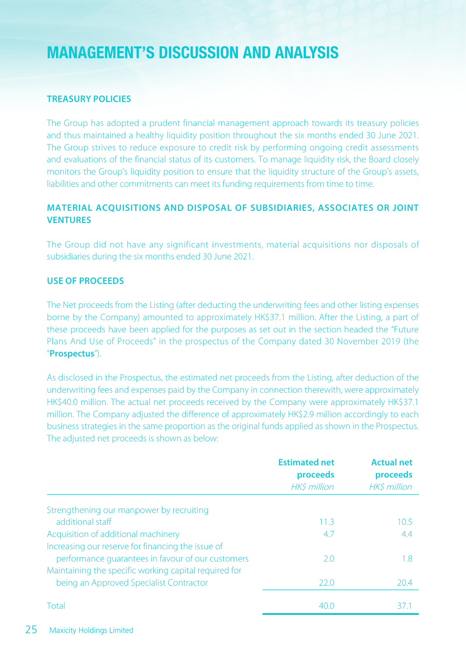## *FREASURY POLICIES*

The Group has adopted a prudent financial management approach towards its treasury policies and thus maintained a healthy liquidity position throughout the six months ended 30 June 2021. The Group strives to reduce exposure to credit risk by performing ongoing credit assessments and evaluations of the financial status of its customers. To manage liquidity risk, the Board closely monitors the Group's liquidity position to ensure that the liquidity structure of the Group's assets, liabilities and other commitments can meet its funding requirements from time to time.

## **MATERIAL ACQUISITIONS AND DISPOSAL OF SUBSIDIARIES, ASSOCIATES OR JOINT VENTURES**

The Group did not have any significant investments, material acquisitions nor disposals of subsidiaries during the six months ended 30 June 2021.

## **USE OF PROCEEDS**

The Net proceeds from the Listing (after deducting the underwriting fees and other listing expenses borne by the Company) amounted to approximately HK\$37.1 million. After the Listing, a part of these proceeds have been applied for the purposes as set out in the section headed the "Future" Plans And Use of Proceeds" in the prospectus of the Company dated 30 November 2019 (the .("**Prospectus**"

As disclosed in the Prospectus, the estimated net proceeds from the Listing, after deduction of the underwriting fees and expenses paid by the Company in connection therewith, were approximately HK\$40.0 million. The actual net proceeds received by the Company were approximately HK\$37.1 million. The Company adjusted the difference of approximately HK\$2.9 million accordingly to each business strategies in the same proportion as the original funds applied as shown in the Prospectus. The adjusted net proceeds is shown as below:

|                                                       | <b>Estimated net</b><br>proceeds<br>HK\$ million | <b>Actual net</b><br>proceeds<br>HK\$ million |
|-------------------------------------------------------|--------------------------------------------------|-----------------------------------------------|
| Strengthening our manpower by recruiting              |                                                  |                                               |
| additional staff                                      | 113                                              | 10.5                                          |
| Acquisition of additional machinery                   | 4.7                                              | 4.4                                           |
| Increasing our reserve for financing the issue of     |                                                  |                                               |
| performance quarantees in favour of our customers     | 2.0                                              | 18                                            |
| Maintaining the specific working capital required for |                                                  |                                               |
| being an Approved Specialist Contractor               | 22.0                                             | 20.4                                          |
| Total                                                 | 40 C                                             |                                               |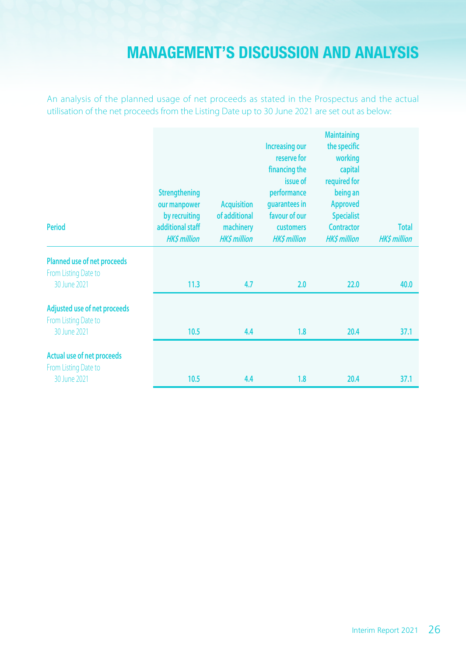An analysis of the planned usage of net proceeds as stated in the Prospectus and the actual utilisation of the net proceeds from the Listing Date up to 30 June 2021 are set out as below:

| <b>Period</b>                                                       | <b>Strengthening</b><br>our manpower<br>by recruiting<br>additional staff<br><b>HK\$ million</b> | <b>Acquisition</b><br>of additional<br>machinery<br><b>HK\$ million</b> | <b>Increasing our</b><br>reserve for<br>financing the<br>issue of<br>performance<br>quarantees in<br>favour of our<br><b>customers</b><br><b>HK\$ million</b> | <b>Maintaining</b><br>the specific<br>working<br>capital<br>required for<br>being an<br><b>Approved</b><br><b>Specialist</b><br><b>Contractor</b><br><b>HK\$ million</b> | <b>Total</b><br><b>HK\$ million</b> |
|---------------------------------------------------------------------|--------------------------------------------------------------------------------------------------|-------------------------------------------------------------------------|---------------------------------------------------------------------------------------------------------------------------------------------------------------|--------------------------------------------------------------------------------------------------------------------------------------------------------------------------|-------------------------------------|
| Planned use of net proceeds<br>From Listing Date to<br>30 June 2021 | 11.3                                                                                             | 4.7                                                                     | 2.0                                                                                                                                                           | 22.0                                                                                                                                                                     | 40.0                                |
|                                                                     |                                                                                                  |                                                                         |                                                                                                                                                               |                                                                                                                                                                          |                                     |
| Adjusted use of net proceeds                                        |                                                                                                  |                                                                         |                                                                                                                                                               |                                                                                                                                                                          |                                     |
| From Listing Date to<br>30 June 2021                                | 10.5                                                                                             | 4.4                                                                     | 1.8                                                                                                                                                           | 20.4                                                                                                                                                                     | 37.1                                |
| <b>Actual use of net proceeds</b><br>From Listing Date to           |                                                                                                  |                                                                         |                                                                                                                                                               |                                                                                                                                                                          |                                     |
| 30 June 2021                                                        | 10.5                                                                                             | 4.4                                                                     | 1.8                                                                                                                                                           | 20.4                                                                                                                                                                     | 37.1                                |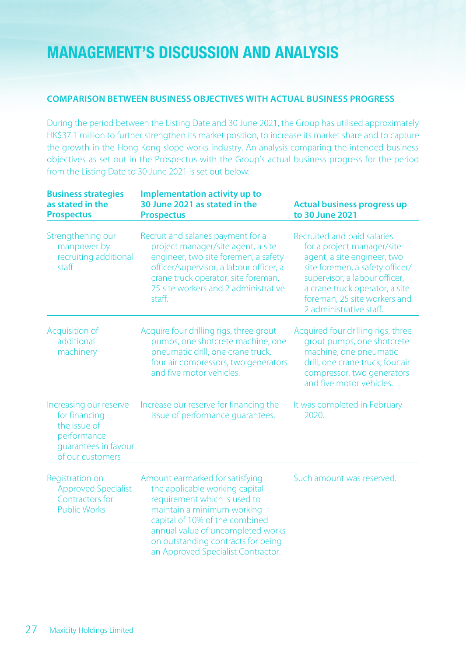## **COMPARISON BETWEEN BUSINESS OBJECTIVES WITH ACTUAL BUSINESS PROGRESS**

During the period between the Listing Date and 30 June 2021, the Group has utilised approximately HK\$37.1 million to further strengthen its market position, to increase its market share and to capture the growth in the Hong Kong slope works industry. An analysis comparing the intended business objectives as set out in the Prospectus with the Group's actual business progress for the period from the Listing Date to 30 June 2021 is set out below:

| <b>Business strategies</b><br>as stated in the<br><b>Prospectus</b>                                                | <b>Implementation activity up to</b><br>30 June 2021 as stated in the<br><b>Prospectus</b>                                                                                                                                                                                         | <b>Actual business progress up</b><br>to 30 June 2021                                                                                                                                                                                                     |
|--------------------------------------------------------------------------------------------------------------------|------------------------------------------------------------------------------------------------------------------------------------------------------------------------------------------------------------------------------------------------------------------------------------|-----------------------------------------------------------------------------------------------------------------------------------------------------------------------------------------------------------------------------------------------------------|
| Strengthening our<br>manpower by<br>recruiting additional<br>staff                                                 | Recruit and salaries payment for a<br>project manager/site agent, a site<br>engineer, two site foremen, a safety<br>officer/supervisor, a labour officer, a<br>crane truck operator, site foreman,<br>25 site workers and 2 administrative<br>staff.                               | Recruited and paid salaries<br>for a project manager/site<br>agent, a site engineer, two<br>site foremen, a safety officer/<br>supervisor, a labour officer,<br>a crane truck operator, a site<br>foreman, 25 site workers and<br>2 administrative staff. |
| Acquisition of<br>additional<br>machinery                                                                          | Acquire four drilling rigs, three grout<br>pumps, one shotcrete machine, one<br>pneumatic drill, one crane truck,<br>four air compressors, two generators<br>and five motor vehicles.                                                                                              | Acquired four drilling rigs, three<br>grout pumps, one shotcrete<br>machine, one pneumatic<br>drill, one crane truck, four air<br>compressor, two generators<br>and five motor vehicles.                                                                  |
| Increasing our reserve<br>for financing<br>the issue of<br>performance<br>quarantees in favour<br>of our customers | Increase our reserve for financing the<br>issue of performance quarantees.                                                                                                                                                                                                         | It was completed in February<br>2020.                                                                                                                                                                                                                     |
| Registration on<br><b>Approved Specialist</b><br>Contractors for<br><b>Public Works</b>                            | Amount earmarked for satisfying<br>the applicable working capital<br>requirement which is used to<br>maintain a minimum working<br>capital of 10% of the combined<br>annual value of uncompleted works<br>on outstanding contracts for being<br>an Approved Specialist Contractor. | Such amount was reserved.                                                                                                                                                                                                                                 |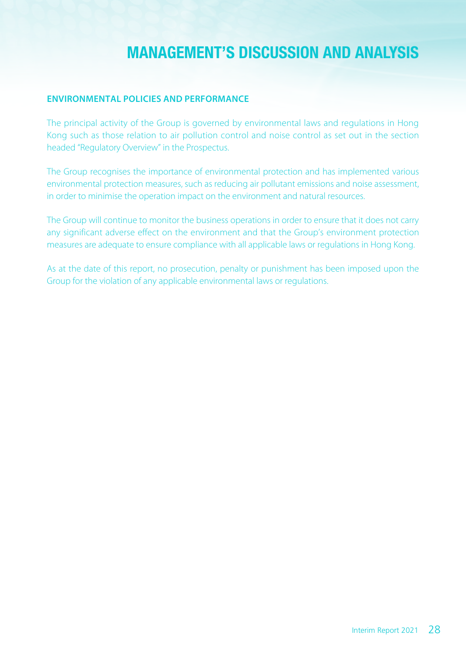## **ENVIRONMENTAL POLICIES AND PERFORMANCE**

The principal activity of the Group is governed by environmental laws and regulations in Hong Kong such as those relation to air pollution control and noise control as set out in the section headed "Regulatory Overview" in the Prospectus.

The Group recognises the importance of environmental protection and has implemented various environmental protection measures, such as reducing air pollutant emissions and noise assessment, in order to minimise the operation impact on the environment and natural resources.

The Group will continue to monitor the business operations in order to ensure that it does not carry any significant adverse effect on the environment and that the Group's environment protection measures are adequate to ensure compliance with all applicable laws or regulations in Hong Kong.

As at the date of this report, no prosecution, penalty or punishment has been imposed upon the Group for the violation of any applicable environmental laws or regulations.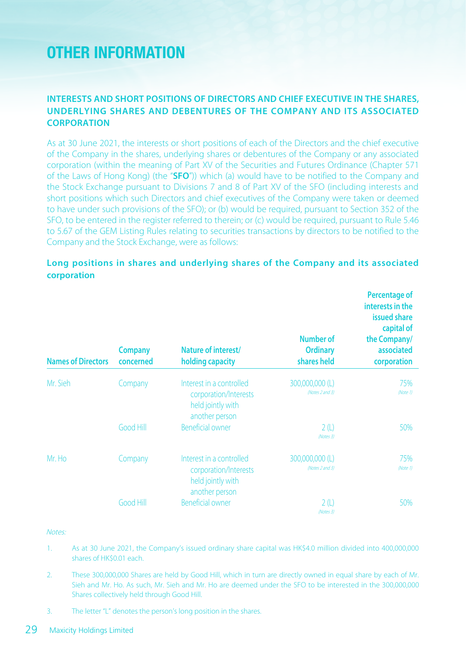## **INTERESTS AND SHORT POSITIONS OF DIRECTORS AND CHIEF EXECUTIVE IN THE SHARES. UNDERLYING SHARES AND DEBENTURES OF THE COMPANY AND ITS ASSOCIATED CORPORATION**

As at 30 June 2021, the interests or short positions of each of the Directors and the chief executive of the Company in the shares, underlying shares or debentures of the Company or any associated corporation (within the meaning of Part XV of the Securities and Futures Ordinance (Chapter 571 of the Laws of Hong Kong) (the "**SFO**")) which (a) would have to be notified to the Company and the Stock Exchange pursuant to Divisions 7 and 8 of Part XV of the SFO (including interests and short positions which such Directors and chief executives of the Company were taken or deemed to have under such provisions of the SFO); or (b) would be required, pursuant to Section 352 of the SFO, to be entered in the register referred to therein; or (c) would be reguired, pursuant to Rule 5.46 to 5.67 of the GEM Listing Rules relating to securities transactions by directors to be notified to the Company and the Stock Exchange, were as follows:

| <b>Names of Directors</b> | <b>Company</b><br>concerned | Nature of interest/<br>holding capacity                                                  | Number of<br><b>Ordinary</b><br>shares held | <b>Percentage of</b><br>interests in the<br>issued share<br>capital of<br>the Company/<br>associated<br>corporation |
|---------------------------|-----------------------------|------------------------------------------------------------------------------------------|---------------------------------------------|---------------------------------------------------------------------------------------------------------------------|
| Mr. Sieh                  | Company                     | Interest in a controlled<br>corporation/Interests<br>held jointly with<br>another person | 300,000,000 (L)<br>(Notes 2 and 3)          | 75%<br>(Note 1)                                                                                                     |
|                           | Good Hill                   | Beneficial owner                                                                         | 2(L)<br>(Notes 3)                           | 50%                                                                                                                 |
| Mr. Ho                    | Company                     | Interest in a controlled<br>corporation/Interests<br>held jointly with<br>another person | 300,000,000 (L)<br>(Notes 2 and 3)          | 75%<br>(Note 1)                                                                                                     |
|                           | Good Hill                   | Beneficial owner                                                                         | 2(L)<br>(Notes 3)                           | 50%                                                                                                                 |

## **Long positions in shares and underlying shares of the Company and its associated corporation**

#### :Notes

- 1. As at 30 June 2021, the Company's issued ordinary share capital was HK\$4.0 million divided into 400,000,000 shares of  $HK \simeq 01$  each
- 2. These 300,000,000 Shares are held by Good Hill, which in turn are directly owned in equal share by each of Mr. Sieh and Mr. Ho. As such. Mr. Sieh and Mr. Ho are deemed under the SFO to be interested in the 300,000,000 Shares collectively held through Good Hill.
- 3. The letter "L" denotes the person's long position in the shares.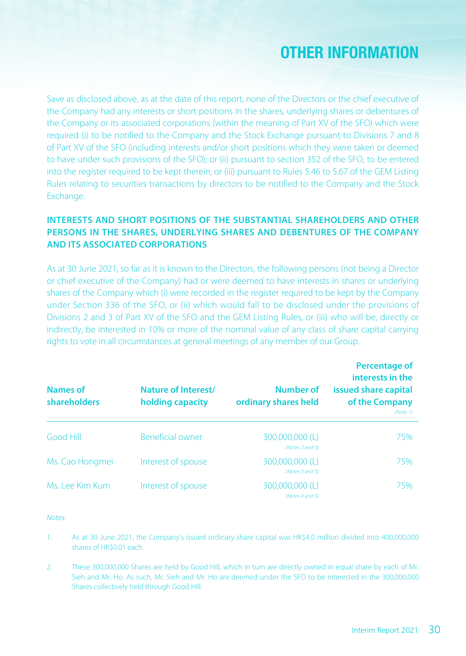Save as disclosed above, as at the date of this report, none of the Directors or the chief executive of the Company had any interests or short positions in the shares, underlying shares or debentures of the Company or its associated corporations (within the meaning of Part XV of the SFO) which were required (i) to be notified to the Company and the Stock Exchange pursuant to Divisions 7 and 8 of Part XV of the SFO (including interests and/or short positions which they were taken or deemed to have under such provisions of the SFO); or (ii) pursuant to section 352 of the SFO, to be entered into the register required to be kept therein; or (iii) pursuant to Rules 5.46 to 5.67 of the GEM Listing Rules relating to securities transactions by directors to be notified to the Company and the Stock Exchange.

## **INTERESTS AND SHORT POSITIONS OF THE SUBSTANTIAL SHAREHOLDERS AND OTHER PERSONS IN THE SHARES, UNDERLYING SHARES AND DEBENTURES OF THE COMPANY AND ITS ASSOCIATED CORPORATIONS**

As at 30 June 2021, so far as it is known to the Directors, the following persons (not being a Director or chief executive of the Company) had or were deemed to have interests in shares or underlying shares of the Company which (i) were recorded in the register required to be kept by the Company under Section 336 of the SFO, or (ii) which would fall to be disclosed under the provisions of Divisions 2 and 3 of Part XV of the SFO and the GEM Listing Rules, or (iii) who will be, directly or indirectly, be interested in 10% or more of the nominal value of any class of share capital carrying rights to vote in all circumstances at general meetings of any member of our Group.

| Names of<br>shareholders | <b>Nature of Interest/</b><br>holding capacity | <b>Number of</b><br>ordinary shares held | Percentage of<br>interests in the<br>issued share capital<br>of the Company<br>(Note 1) |
|--------------------------|------------------------------------------------|------------------------------------------|-----------------------------------------------------------------------------------------|
| Good Hill                | Beneficial owner                               | 300,000,000 (L)<br>(Notes 2 and 5)       | 75%                                                                                     |
| Ms. Cao Hongmei          | Interest of spouse                             | 300,000,000 (L)<br>(Notes 3 and 5)       | 75%                                                                                     |
| Ms. Lee Kim Kum          | Interest of spouse                             | 300,000,000 (L)<br>(Notes 4 and 5)       | 75%                                                                                     |

#### :Notes

- 1. As at 30 June 2021, the Company's issued ordinary share capital was HK\$4.0 million divided into 400,000,000 shares of  $HK$0.01$  each
- 2. These 300,000,000 Shares are held by Good Hill, which in turn are directly owned in equal share by each of Mr. Sieh and Mr. Ho. As such. Mr. Sieh and Mr. Ho are deemed under the SFO to be interested in the 300,000,000 Shares collectively held through Good Hill.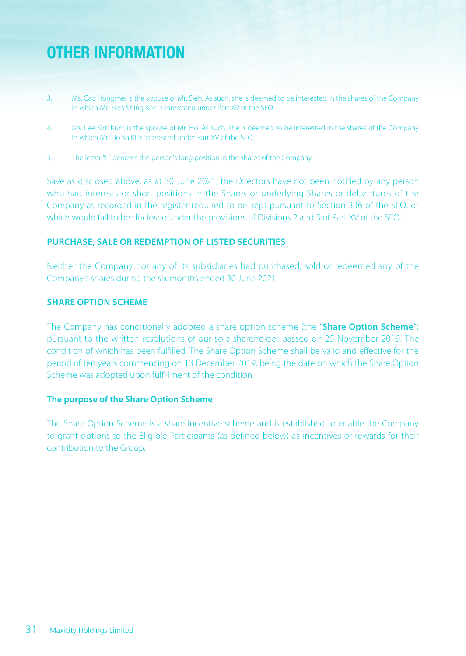- 3. Ms. Cao Hongmei is the spouse of Mr. Sieh. As such, she is deemed to be interested in the shares of the Company in which Mr. Sieh Shing Kee is interested under Part XV of the SFO.
- 4. Ms. Lee Kim Kum is the spouse of Mr. Ho. As such, she is deemed to be interested in the shares of the Company in which Mr. Ho Ka Ki is interested under Part XV of the SFO.
- 5. The letter "L" denotes the person's long position in the shares of the Company.

Save as disclosed above, as at 30 June 2021, the Directors have not been notified by any person who had interests or short positions in the Shares or underlying Shares or debentures of the Company as recorded in the register required to be kept pursuant to Section 336 of the SFO, or which would fall to be disclosed under the provisions of Divisions 2 and 3 of Part XV of the SFO.

### **PURCHASE, SALE OR REDEMPTION OF LISTED SECURITIES**

Neither the Company nor any of its subsidiaries had purchased, sold or redeemed any of the Company's shares during the six months ended 30 June 2021.

### **SHARE OPTION SCHEME**

The Company has conditionally adopted a share option scheme (the "**Share Option Scheme**") pursuant to the written resolutions of our sole shareholder passed on 25 November 2019. The condition of which has been fulfilled. The Share Option Scheme shall be valid and effective for the period of ten years commencing on 13 December 2019, being the date on which the Share Option Scheme was adopted upon fulfillment of the condition.

#### **The purpose of the Share Option Scheme**

The Share Option Scheme is a share incentive scheme and is established to enable the Company to grant options to the Eligible Participants (as defined below) as incentives or rewards for their contribution to the Group.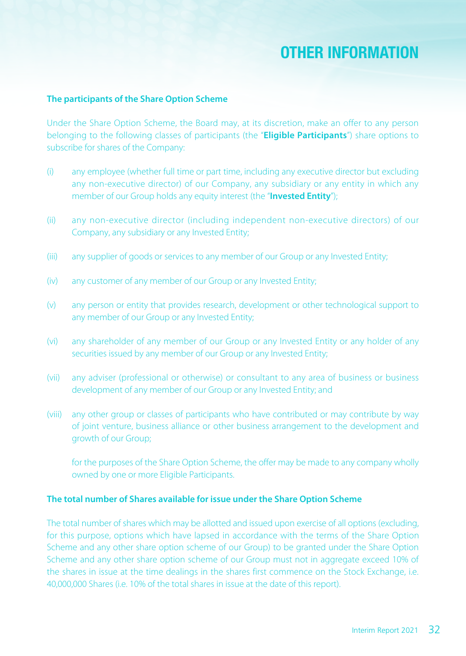#### **The participants of the Share Option Scheme**

Under the Share Option Scheme, the Board may, at its discretion, make an offer to any person belonging to the following classes of participants (the "**Eligible Participants**") share options to subscribe for shares of the Company:

- (i) any employee (whether full time or part time, including any executive director but excluding any non-executive director) of our Company, any subsidiary or any entity in which any member of our Group holds any equity interest (the "**Invested Entity**");
- (ii) any non-executive director (including independent non-executive directors) of our Company, any subsidiary or any Invested Entity;
- (iii) any supplier of goods or services to any member of our Group or any Invested Entity:
- (iv) any customer of any member of our Group or any Invested Entity;
- (v) any person or entity that provides research, development or other technological support to any member of our Group or any Invested Entity;
- (vi) any shareholder of any member of our Group or any Invested Entity or any holder of any securities issued by any member of our Group or any Invested Entity;
- (vii) any adviser (professional or otherwise) or consultant to any area of business or business development of any member of our Group or any Invested Entity; and
- (viii) any other group or classes of participants who have contributed or may contribute by way of joint venture, business alliance or other business arrangement to the development and arowth of our Group:

for the purposes of the Share Option Scheme, the offer may be made to any company wholly owned by one or more Eligible Participants.

#### The total number of Shares available for issue under the Share Option Scheme

The total number of shares which may be allotted and issued upon exercise of all options (excluding, for this purpose, options which have lapsed in accordance with the terms of the Share Option Scheme and any other share option scheme of our Group) to be granted under the Share Option Scheme and any other share option scheme of our Group must not in aggregate exceed 10% of the shares in issue at the time dealings in the shares first commence on the Stock Exchange, i.e. 40,000,000 Shares (i.e. 10% of the total shares in issue at the date of this report).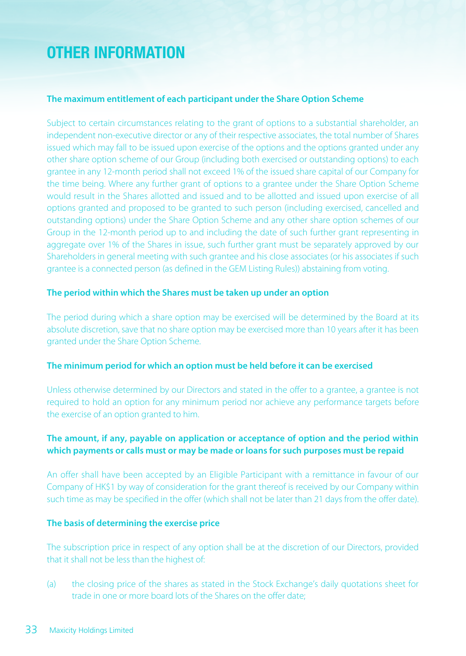#### The maximum entitlement of each participant under the Share Option Scheme

Subject to certain circumstances relating to the grant of options to a substantial shareholder, an independent non-executive director or any of their respective associates, the total number of Shares issued which may fall to be issued upon exercise of the options and the options granted under any other share option scheme of our Group (including both exercised or outstanding options) to each grantee in any 12-month period shall not exceed 1% of the issued share capital of our Company for the time being. Where any further grant of options to a grantee under the Share Option Scheme would result in the Shares allotted and issued and to be allotted and issued upon exercise of all options granted and proposed to be granted to such person (including exercised, cancelled and outstanding options) under the Share Option Scheme and any other share option schemes of our Group in the 12-month period up to and including the date of such further grant representing in aggregate over 1% of the Shares in issue, such further grant must be separately approved by our Shareholders in general meeting with such grantee and his close associates (or his associates if such grantee is a connected person (as defined in the GEM Listing Rules)) abstaining from voting.

### The period within which the Shares must be taken up under an option

The period during which a share option may be exercised will be determined by the Board at its absolute discretion, save that no share option may be exercised more than 10 years after it has been granted under the Share Option Scheme.

#### The minimum period for which an option must be held before it can be exercised

Unless otherwise determined by our Directors and stated in the offer to a grantee, a grantee is not required to hold an option for any minimum period nor achieve any performance targets before the exercise of an option granted to him.

## The amount, if any, payable on application or acceptance of option and the period within which payments or calls must or may be made or loans for such purposes must be repaid

An offer shall have been accepted by an Eligible Participant with a remittance in favour of our Company of HK\$1 by way of consideration for the grant thereof is received by our Company within such time as may be specified in the offer (which shall not be later than 21 days from the offer date).

### The basis of determining the exercise price

The subscription price in respect of any option shall be at the discretion of our Directors, provided that it shall not be less than the highest of:

(a) the closing price of the shares as stated in the Stock Exchange's daily quotations sheet for trade in one or more board lots of the Shares on the offer date: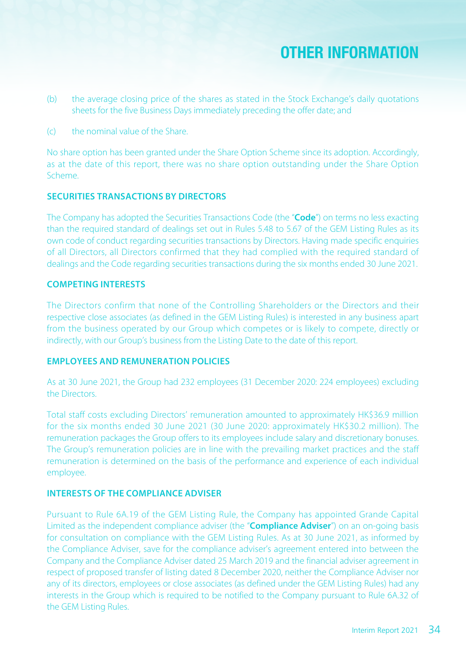- (b) the average closing price of the shares as stated in the Stock Exchange's daily quotations sheets for the five Business Days immediately preceding the offer date; and
- $(c)$  the nominal value of the Share.

No share option has been granted under the Share Option Scheme since its adoption. Accordingly, as at the date of this report, there was no share option outstanding under the Share Option .Scheme

### **SECURITIES TRANSACTIONS BY DIRECTORS**

The Company has adopted the Securities Transactions Code (the "**Code**") on terms no less exacting than the required standard of dealings set out in Rules 5.48 to 5.67 of the GEM Listing Rules as its own code of conduct regarding securities transactions by Directors. Having made specific enguiries of all Directors, all Directors confirmed that they had complied with the required standard of dealings and the Code regarding securities transactions during the six months ended 30 June 2021.

## **COMPETING INTERESTS**

The Directors confirm that none of the Controlling Shareholders or the Directors and their respective close associates (as defined in the GEM Listing Rules) is interested in any business apart from the business operated by our Group which competes or is likely to compete, directly or indirectly, with our Group's business from the Listing Date to the date of this report.

#### **FMPLOYEES AND REMUNERATION POLICIES**

As at 30 June 2021, the Group had 232 employees (31 December 2020: 224 employees) excluding the Directors

Total staff costs excluding Directors' remuneration amounted to approximately HK\$36.9 million for the six months ended 30 June 2021 (30 June 2020: approximately HK\$30.2 million). The remuneration packages the Group offers to its employees include salary and discretionary bonuses. The Group's remuneration policies are in line with the prevailing market practices and the staff remuneration is determined on the basis of the performance and experience of each individual .employee

## **INTERESTS OF THE COMPLIANCE ADVISER**

Pursuant to Rule 6A.19 of the GEM Listing Rule, the Company has appointed Grande Capital Limited as the independent compliance adviser (the "**Compliance Adviser**") on an on-going basis for consultation on compliance with the GEM Listing Rules. As at 30 June 2021, as informed by the Compliance Adviser, save for the compliance adviser's agreement entered into between the Company and the Compliance Adviser dated 25 March 2019 and the financial adviser agreement in respect of proposed transfer of listing dated 8 December 2020, neither the Compliance Adviser nor any of its directors, employees or close associates (as defined under the GEM Listing Rules) had any interests in the Group which is required to be notified to the Company pursuant to Rule 6A.32 of the GEM Listing Rules.